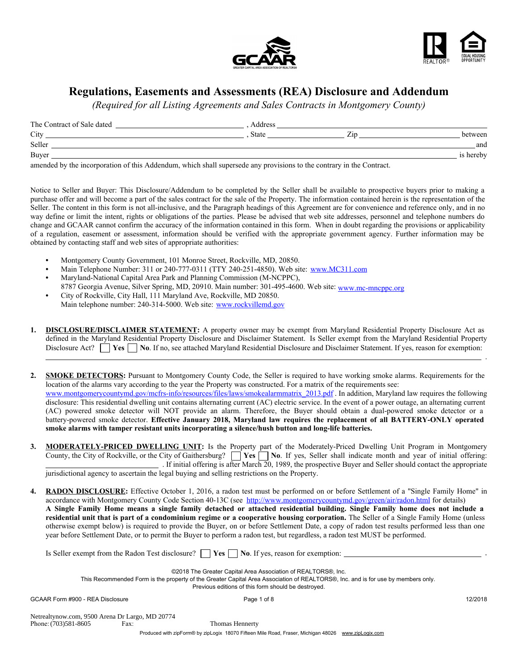



# Regulations, Easements and Assessments (REA) Disclosure and Addendum

*(Required for all Listing Agreements and Sales Contracts in Montgomery County)*

| The Contract of Sale dated                                                                                          | Address      |     |           |
|---------------------------------------------------------------------------------------------------------------------|--------------|-----|-----------|
| City                                                                                                                | <b>State</b> | ∠ır | between   |
| Seller                                                                                                              |              |     | and       |
| Buyer                                                                                                               |              |     | is hereby |
| $\sim$ . The distribution of the control of the distribution of the control of the second distribution to decompose |              |     |           |

amended by the incorporation of this Addendum, which shall supersede any provisions to the contrary in the Contract.

Notice to Seller and Buyer: This Disclosure/Addendum to be completed by the Seller shall be available to prospective buyers prior to making a purchase offer and will become a part of the sales contract for the sale of the Property. The information contained herein is the representation of the Seller. The content in this form is not all-inclusive, and the Paragraph headings of this Agreement are for convenience and reference only, and in no way define or limit the intent, rights or obligations of the parties. Please be advised that web site addresses, personnel and telephone numbers do change and GCAAR cannot confirm the accuracy of the information contained in this form. When in doubt regarding the provisions or applicability of a regulation, easement or assessment, information should be verified with the appropriate government agency. Further information may be obtained by contacting staff and web sites of appropriate authorities:

- Montgomery County Government, 101 Monroe Street, Rockville, MD, 20850.
- Main Telephone Number: 311 or 240-777-0311 (TTY 240-251-4850). Web site: www.MC311.com
- Maryland-National Capital Area Park and Planning Commission (M-NCPPC), 8787 Georgia Avenue, Silver Spring, MD, 20910. Main number: 301-495-4600. Web site: www.mc-mncppc.org
- City of Rockville, City Hall, 111 Maryland Ave, Rockville, MD 20850. Main telephone number: 240-314-5000. Web site: www.rockvillemd.gov
- 1. DISCLOSURE/DISCLAIMER STATEMENT: A property owner may be exempt from Maryland Residential Property Disclosure Act as defined in the Maryland Residential Property Disclosure and Disclaimer Statement. Is Seller exempt from the Maryland Residential Property Disclosure Act?  $\Box$  Yes  $\Box$  No. If no, see attached Maryland Residential Disclosure and Disclaimer Statement. If yes, reason for exemption:
- 2. SMOKE DETECTORS: Pursuant to Montgomery County Code, the Seller is required to have working smoke alarms. Requirements for the location of the alarms vary according to the year the Property was constructed. For a matrix of the requirements see: www.montgomerycountymd.gov/mcfrs-info/resources/files/laws/smokealarmmatrix\_2013.pdf . In addition, Maryland law requires the following disclosure: This residential dwelling unit contains alternating current (AC) electric service. In the event of a power outage, an alternating current (AC) powered smoke detector will NOT provide an alarm. Therefore, the Buyer should obtain a dual-powered smoke detector or a battery-powered smoke detector. Effective January 2018, Maryland law requires the replacement of all BATTERY-ONLY operated smoke alarms with tamper resistant units incorporating a silence/hush button and long-life batteries.
- 3. MODERATELY-PRICED DWELLING UNIT: Is the Property part of the Moderately-Priced Dwelling Unit Program in Montgomery County, the City of Rockville, or the City of Gaithersburg?  $\Box$  Yes  $\Box$  No. If yes, Seller shall indicate month and year of initial offering: . If initial offering is after March 20, 1989, the prospective Buyer and Seller should contact the appropriate jurisdictional agency to ascertain the legal buying and selling restrictions on the Property.
- 4. RADON DISCLOSURE: Effective October 1, 2016, a radon test must be performed on or before Settlement of a "Single Family Home" in accordance with Montgomery County Code Section 40-13C (see http://www.montgomerycountymd.gov/green/air/radon.html for details) A Single Family Home means a single family detached or attached residential building. Single Family home does not include a residential unit that is part of a condominium regime or a cooperative housing corporation. The Seller of a Single Family Home (unless otherwise exempt below) is required to provide the Buyer, on or before Settlement Date, a copy of radon test results performed less than one year before Settlement Date, or to permit the Buyer to perform a radon test, but regardless, a radon test MUST be performed.

Is Seller exempt from the Radon Test disclosure?  $\Box$  Yes  $\Box$  No. If yes, reason for exemption:

©2018 The Greater Capital Area Association of REALTORS®, Inc.

This Recommended Form is the property of the Greater Capital Area Association of REALTORS®, Inc. and is for use by members only.

Previous editions of this form should be destroyed.

GCAAR Form #900 - REA Disclosure example and the Page 1 of 8 12/2018

Phone: (703)581-8605 Fax: Netrealtynow.com, 9500 Arena Dr Largo, MD 20774

Thomas Hennerty

Produced with zipForm® by zipLogix 18070 Fifteen Mile Road, Fraser, Michigan 48026 www.zipLogix.com

.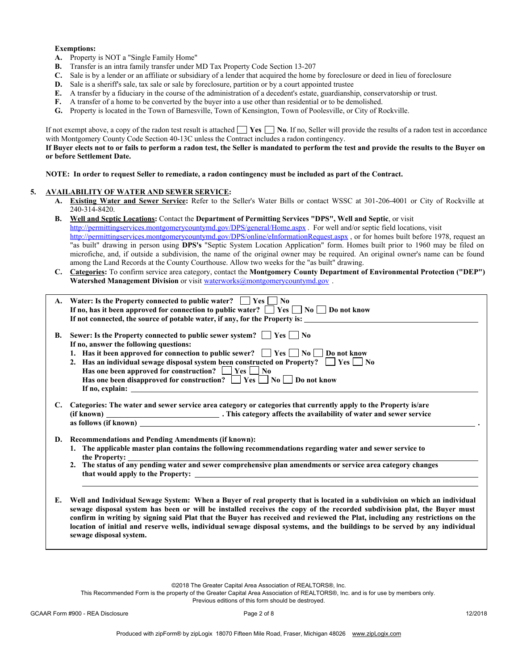#### Exemptions:

- A. Property is NOT a "Single Family Home"
- B. Transfer is an intra family transfer under MD Tax Property Code Section 13-207
- C. Sale is by a lender or an affiliate or subsidiary of a lender that acquired the home by foreclosure or deed in lieu of foreclosure
- D. Sale is a sheriff's sale, tax sale or sale by foreclosure, partition or by a court appointed trustee
- E. A transfer by a fiduciary in the course of the administration of a decedent's estate, guardianship, conservatorship or trust.
- F. A transfer of a home to be converted by the buyer into a use other than residential or to be demolished.
- G. Property is located in the Town of Barnesville, Town of Kensington, Town of Poolesville, or City of Rockville.

If not exempt above, a copy of the radon test result is attached  $\Box$  Yes  $\Box$  No. If no, Seller will provide the results of a radon test in accordance with Montgomery County Code Section 40-13C unless the Contract includes a radon contingency.

If Buyer elects not to or fails to perform a radon test, the Seller is mandated to perform the test and provide the results to the Buyer on or before Settlement Date.

NOTE: In order to request Seller to remediate, a radon contingency must be included as part of the Contract.

#### 5. AVAILABILITY OF WATER AND SEWER SERVICE:

- A. Existing Water and Sewer Service: Refer to the Seller's Water Bills or contact WSSC at 301-206-4001 or City of Rockville at 240-314-8420.
- B. Well and Septic Locations: Contact the Department of Permitting Services "DPS", Well and Septic, or visit http://permittingservices.montgomerycountymd.gov/DPS/general/Home.aspx . For well and/or septic field locations, visit http://permittingservices.montgomerycountymd.gov/DPS/online/eInformationRequest.aspx, or for homes built before 1978, request an "as built" drawing in person using DPS's "Septic System Location Application" form. Homes built prior to 1960 may be filed on microfiche, and, if outside a subdivision, the name of the original owner may be required. An original owner's name can be found among the Land Records at the County Courthouse. Allow two weeks for the "as built" drawing.
- C. Categories: To confirm service area category, contact the Montgomery County Department of Environmental Protection ("DEP") Watershed Management Division or visit waterworks@montgomerycountymd.gov.

|    | A. Water: Is the Property connected to public water? $\Box$ Yes $\Box$ No<br>If no, has it been approved for connection to public water? $\Box$ Yes $\Box$ No $\Box$ Do not know                                                                                                                                                                                                                                                                                                                                                              |
|----|-----------------------------------------------------------------------------------------------------------------------------------------------------------------------------------------------------------------------------------------------------------------------------------------------------------------------------------------------------------------------------------------------------------------------------------------------------------------------------------------------------------------------------------------------|
|    |                                                                                                                                                                                                                                                                                                                                                                                                                                                                                                                                               |
|    | If not connected, the source of potable water, if any, for the Property is:                                                                                                                                                                                                                                                                                                                                                                                                                                                                   |
| В. | Sewer: Is the Property connected to public sewer system? $\Box$ Yes $\Box$ No<br>If no, answer the following questions:                                                                                                                                                                                                                                                                                                                                                                                                                       |
|    | 1. Has it been approved for connection to public sewer? $\Box$ Yes $\Box$ No $\Box$ Do not know                                                                                                                                                                                                                                                                                                                                                                                                                                               |
|    | 2. Has an individual sewage disposal system been constructed on Property? $\Box$ Yes $\Box$ No                                                                                                                                                                                                                                                                                                                                                                                                                                                |
|    | Has one been approved for construction? $\Box$ Yes $\Box$ No                                                                                                                                                                                                                                                                                                                                                                                                                                                                                  |
|    |                                                                                                                                                                                                                                                                                                                                                                                                                                                                                                                                               |
|    | Has one been disapproved for construction? $\Box$ Yes $\Box$ No $\Box$ Do not know                                                                                                                                                                                                                                                                                                                                                                                                                                                            |
|    | If no, explain: $\sqrt{ }$                                                                                                                                                                                                                                                                                                                                                                                                                                                                                                                    |
| C. | Categories: The water and sewer service area category or categories that currently apply to the Property is/are                                                                                                                                                                                                                                                                                                                                                                                                                               |
| D. | <b>Recommendations and Pending Amendments (if known):</b>                                                                                                                                                                                                                                                                                                                                                                                                                                                                                     |
|    | 1. The applicable master plan contains the following recommendations regarding water and sewer service to<br>the Property:                                                                                                                                                                                                                                                                                                                                                                                                                    |
|    |                                                                                                                                                                                                                                                                                                                                                                                                                                                                                                                                               |
|    |                                                                                                                                                                                                                                                                                                                                                                                                                                                                                                                                               |
|    |                                                                                                                                                                                                                                                                                                                                                                                                                                                                                                                                               |
|    |                                                                                                                                                                                                                                                                                                                                                                                                                                                                                                                                               |
| Е. | Well and Individual Sewage System: When a Buyer of real property that is located in a subdivision on which an individual<br>sewage disposal system has been or will be installed receives the copy of the recorded subdivision plat, the Buyer must<br>confirm in writing by signing said Plat that the Buyer has received and reviewed the Plat, including any restrictions on the<br>location of initial and reserve wells, individual sewage disposal systems, and the buildings to be served by any individual<br>sewage disposal system. |

©2018 The Greater Capital Area Association of REALTORS®, Inc.

This Recommended Form is the property of the Greater Capital Area Association of REALTORS®, Inc. and is for use by members only. Previous editions of this form should be destroyed.

GCAAR Form #900 - REA Disclosure 12/2018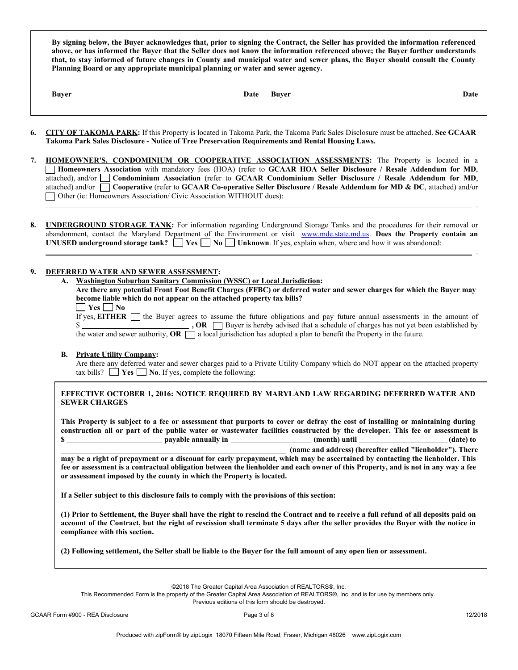By signing below, the Buyer acknowledges that, prior to signing the Contract, the Seller has provided the information referenced above, or has informed the Buyer that the Seller does not know the information referenced above; the Buyer further understands that, to stay informed of future changes in County and municipal water and sewer plans, the Buyer should consult the County Planning Board or any appropriate municipal planning or water and sewer agency.

Buyer Date Buyer Date

.

.

- 6. CITY OF TAKOMA PARK: If this Property is located in Takoma Park, the Takoma Park Sales Disclosure must be attached. See GCAAR Takoma Park Sales Disclosure - Notice of Tree Preservation Requirements and Rental Housing Laws.
- 7. HOMEOWNER'S, CONDOMINIUM OR COOPERATIVE ASSOCIATION ASSESSMENTS: The Property is located in a Homeowners Association with mandatory fees (HOA) (refer to GCAAR HOA Seller Disclosure / Resale Addendum for MD, attached), and/or **Condominium Association** (refer to GCAAR Condominium Seller Disclosure / Resale Addendum for MD, attached) and/or  $\Box$  Cooperative (refer to GCAAR Co-operative Seller Disclosure / Resale Addendum for MD & DC, attached) and/or Other (ie: Homeowners Association/ Civic Association WITHOUT dues):
- 8. UNDERGROUND STORAGE TANK: For information regarding Underground Storage Tanks and the procedures for their removal or abandonment, contact the Maryland Department of the Environment or visit www.mde.state.md.us. Does the Property contain an UNUSED underground storage tank?  $\Box$  Yes  $\Box$  No  $\Box$  Unknown. If yes, explain when, where and how it was abandoned:

### 9. DEFERRED WATER AND SEWER ASSESSMENT:

### A. Washington Suburban Sanitary Commission (WSSC) or Local Jurisdiction:

| Are there any potential Front Foot Benefit Charges (FFBC) or deferred water and sewer charges for which the Buyer may |
|-----------------------------------------------------------------------------------------------------------------------|
| become liable which do not appear on the attached property tax bills?                                                 |

| $\Box$ Yes $\Box$ No           |  |
|--------------------------------|--|
| If yes, <b>EITHER</b> $\Box$ t |  |

If the Buyer agrees to assume the future obligations and pay future annual assessments in the amount of  $$\sim$$  , OR  $$\sim$$  Buyer is hereby advised that a schedule of charges has not yet been established by the water and sewer authority,  $OR \Box$  a local jurisdiction has adopted a plan to benefit the Property in the future.

## B. Private Utility Company:

Are there any deferred water and sewer charges paid to a Private Utility Company which do NOT appear on the attached property tax bills?  $\Box$  Yes  $\Box$  No. If yes, complete the following:

## EFFECTIVE OCTOBER 1, 2016: NOTICE REQUIRED BY MARYLAND LAW REGARDING DEFERRED WATER AND SEWER CHARGES

This Property is subject to a fee or assessment that purports to cover or defray the cost of installing or maintaining during construction all or part of the public water or wastewater facilities constructed by the developer. This fee or assessment is \$ (name and address) (hereafter called "lienholder"). There may be a right of prepayment or a discount for early prepayment, which may be ascertained by contacting the lienholder. This fee or assessment is a contractual obligation between the lienholder and each owner of this Property, and is not in any way a fee or assessment imposed by the county in which the Property is located.

If a Seller subject to this disclosure fails to comply with the provisions of this section:

(1) Prior to Settlement, the Buyer shall have the right to rescind the Contract and to receive a full refund of all deposits paid on account of the Contract, but the right of rescission shall terminate 5 days after the seller provides the Buyer with the notice in compliance with this section.

(2) Following settlement, the Seller shall be liable to the Buyer for the full amount of any open lien or assessment.

©2018 The Greater Capital Area Association of REALTORS®, Inc.

This Recommended Form is the property of the Greater Capital Area Association of REALTORS®, Inc. and is for use by members only.

Previous editions of this form should be destroyed.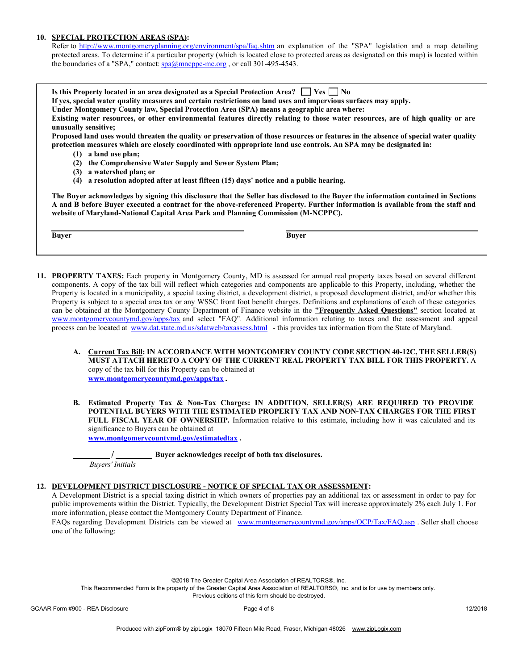### 10. SPECIAL PROTECTION AREAS (SPA):

Refer to http://www.montgomeryplanning.org/environment/spa/faq.shtm an explanation of the "SPA" legislation and a map detailing protected areas. To determine if a particular property (which is located close to protected areas as designated on this map) is located within the boundaries of a "SPA," contact: spa@mncppc-mc.org, or call 301-495-4543.

| Is this Property located in an area designated as a Special Protection Area? $\vert$ Yes $\vert$ No<br>If yes, special water quality measures and certain restrictions on land uses and impervious surfaces may apply.<br>Under Montgomery County law, Special Protection Area (SPA) means a geographic area where:<br>Existing water resources, or other environmental features directly relating to those water resources, are of high quality or are |
|---------------------------------------------------------------------------------------------------------------------------------------------------------------------------------------------------------------------------------------------------------------------------------------------------------------------------------------------------------------------------------------------------------------------------------------------------------|
| unusually sensitive;                                                                                                                                                                                                                                                                                                                                                                                                                                    |
| Proposed land uses would threaten the quality or preservation of those resources or features in the absence of special water quality<br>protection measures which are closely coordinated with appropriate land use controls. An SPA may be designated in:<br>a land use plan;<br>(1)                                                                                                                                                                   |
| the Comprehensive Water Supply and Sewer System Plan;<br>(2)                                                                                                                                                                                                                                                                                                                                                                                            |
| a watershed plan; or<br>(3)                                                                                                                                                                                                                                                                                                                                                                                                                             |
| a resolution adopted after at least fifteen (15) days' notice and a public hearing.<br>(4)                                                                                                                                                                                                                                                                                                                                                              |
| The Buyer acknowledges by signing this disclosure that the Seller has disclosed to the Buyer the information contained in Sections<br>A and B before Buyer executed a contract for the above-referenced Property. Further information is available from the staff and<br>website of Maryland-National Capital Area Park and Planning Commission (M-NCPPC).                                                                                              |

| 11. <b>PROPERTY TAXES:</b> Each property in Montgomery County, MD is assessed for annual real property taxes based on several different        |
|------------------------------------------------------------------------------------------------------------------------------------------------|
| components. A copy of the tax bill will reflect which categories and components are applicable to this Property, including, whether the        |
| Property is located in a municipality, a special taxing district, a development district, a proposed development district, and/or whether this |
| Property is subject to a special area tax or any WSSC front foot benefit charges. Definitions and explanations of each of these categories     |
| can be obtained at the Montgomery County Department of Finance website in the "Frequently Asked Questions" section located at                  |
| www.montgomerycountymd.gov/apps/tax and select "FAQ". Additional information relating to taxes and the assessment and appeal                   |
| process can be located at www.dat.state.md.us/sdatweb/taxassess.html - this provides tax information from the State of Maryland.               |

- A. Current Tax Bill: IN ACCORDANCE WITH MONTGOMERY COUNTY CODE SECTION 40-12C, THE SELLER(S) MUST ATTACH HERETO A COPY OF THE CURRENT REAL PROPERTY TAX BILL FOR THIS PROPERTY. A copy of the tax bill for this Property can be obtained at www.montgomerycountymd.gov/apps/tax .
- B. Estimated Property Tax & Non-Tax Charges: IN ADDITION, SELLER(S) ARE REQUIRED TO PROVIDE POTENTIAL BUYERS WITH THE ESTIMATED PROPERTY TAX AND NON-TAX CHARGES FOR THE FIRST FULL FISCAL YEAR OF OWNERSHIP. Information relative to this estimate, including how it was calculated and its significance to Buyers can be obtained at www.montgomerycountymd.gov/estimatedtax .

**Example 1** Buyer acknowledges receipt of both tax disclosures. *Buyers' Initials*

## 12. DEVELOPMENT DISTRICT DISCLOSURE - NOTICE OF SPECIAL TAX OR ASSESSMENT:

Buyer Buyer

A Development District is a special taxing district in which owners of properties pay an additional tax or assessment in order to pay for public improvements within the District. Typically, the Development District Special Tax will increase approximately 2% each July 1. For more information, please contact the Montgomery County Department of Finance.

FAQs regarding Development Districts can be viewed at www.montgomerycountymd.gov/apps/OCP/Tax/FAQ.asp . Seller shall choose one of the following:

©2018 The Greater Capital Area Association of REALTORS®, Inc.

This Recommended Form is the property of the Greater Capital Area Association of REALTORS®, Inc. and is for use by members only. Previous editions of this form should be destroyed.

GCAAR Form #900 - REA Disclosure example and the Page 4 of 8 12/2018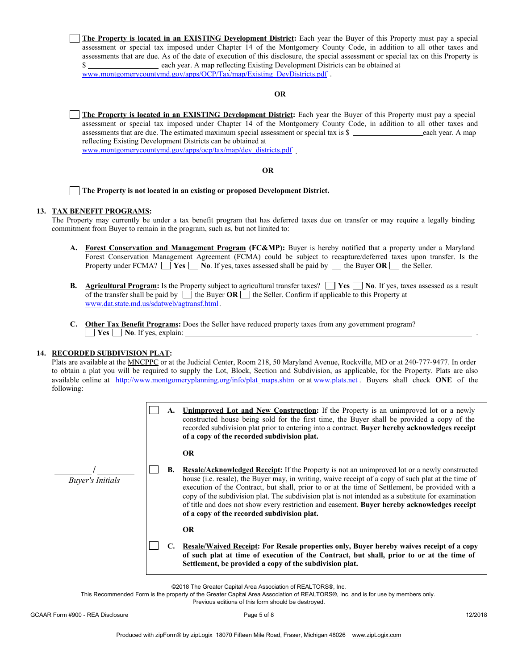

©2018 The Greater Capital Area Association of REALTORS®, Inc.

This Recommended Form is the property of the Greater Capital Area Association of REALTORS®, Inc. and is for use by members only.

Previous editions of this form should be destroyed.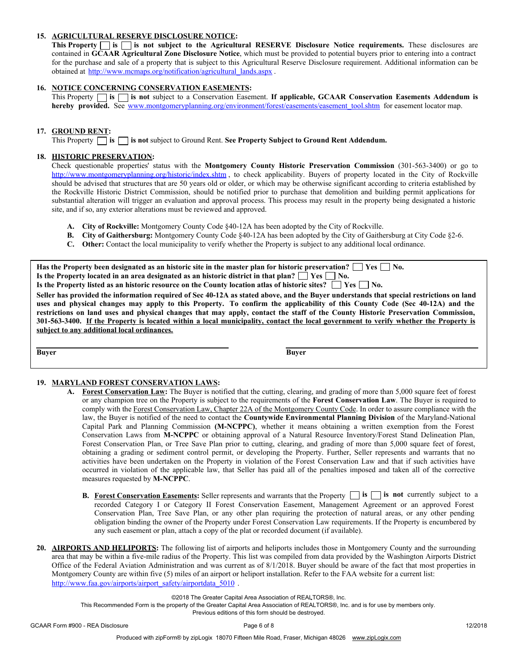## 15. AGRICULTURAL RESERVE DISCLOSURE NOTICE:

This Property  $\Box$  is  $\Box$  is not subject to the Agricultural RESERVE Disclosure Notice requirements. These disclosures are contained in GCAAR Agricultural Zone Disclosure Notice, which must be provided to potential buyers prior to entering into a contract for the purchase and sale of a property that is subject to this Agricultural Reserve Disclosure requirement. Additional information can be obtained at http://www.mcmaps.org/notification/agricultural\_lands.aspx .

## 16. NOTICE CONCERNING CONSERVATION EASEMENTS:

This Property  $\Box$  is  $\Box$  is not subject to a Conservation Easement. If applicable, GCAAR Conservation Easements Addendum is hereby provided. See www.montgomeryplanning.org/environment/forest/easements/easement\_tool.shtm for easement locator map.

## 17. GROUND RENT:

This Property  $\Box$  is  $\Box$  is not subject to Ground Rent. See Property Subject to Ground Rent Addendum.

## 18. HISTORIC PRESERVATION:

Check questionable properties' status with the Montgomery County Historic Preservation Commission (301-563-3400) or go to http://www.montgomeryplanning.org/historic/index.shtm, to check applicability. Buyers of property located in the City of Rockville should be advised that structures that are 50 years old or older, or which may be otherwise significant according to criteria established by the Rockville Historic District Commission, should be notified prior to purchase that demolition and building permit applications for substantial alteration will trigger an evaluation and approval process. This process may result in the property being designated a historic site, and if so, any exterior alterations must be reviewed and approved.

- A. City of Rockville: Montgomery County Code §40-12A has been adopted by the City of Rockville.
- B. City of Gaithersburg: Montgomery County Code §40-12A has been adopted by the City of Gaithersburg at City Code §2-6.
- C. Other: Contact the local municipality to verify whether the Property is subject to any additional local ordinance.

Has the Property been designated as an historic site in the master plan for historic preservation?  $\Box$  Yes  $\Box$  No. Is the Property located in an area designated as an historic district in that plan?  $\Box$  Yes  $\Box$  No. Is the Property listed as an historic resource on the County location atlas of historic sites?  $\Box$  Yes  $\Box$  No. Seller has provided the information required of Sec 40-12A as stated above, and the Buyer understands that special restrictions on land

uses and physical changes may apply to this Property. To confirm the applicability of this County Code (Sec 40-12A) and the restrictions on land uses and physical changes that may apply, contact the staff of the County Historic Preservation Commission, 301-563-3400. If the Property is located within a local municipality, contact the local government to verify whether the Property is subject to any additional local ordinances.

Buyer Buyer

## 19. MARYLAND FOREST CONSERVATION LAWS:

- A. Forest Conservation Law: The Buyer is notified that the cutting, clearing, and grading of more than 5,000 square feet of forest or any champion tree on the Property is subject to the requirements of the Forest Conservation Law. The Buyer is required to comply with the Forest Conservation Law, Chapter 22A of the Montgomery County Code. In order to assure compliance with the law, the Buyer is notified of the need to contact the Countywide Environmental Planning Division of the Maryland-National Capital Park and Planning Commission (M-NCPPC), whether it means obtaining a written exemption from the Forest Conservation Laws from M-NCPPC or obtaining approval of a Natural Resource Inventory/Forest Stand Delineation Plan, Forest Conservation Plan, or Tree Save Plan prior to cutting, clearing, and grading of more than 5,000 square feet of forest, obtaining a grading or sediment control permit, or developing the Property. Further, Seller represents and warrants that no activities have been undertaken on the Property in violation of the Forest Conservation Law and that if such activities have occurred in violation of the applicable law, that Seller has paid all of the penalties imposed and taken all of the corrective measures requested by M-NCPPC.
	- **B.** Forest Conservation Easements: Seller represents and warrants that the Property  $\Box$  is  $\Box$  is not currently subject to a recorded Category I or Category II Forest Conservation Easement, Management Agreement or an approved Forest Conservation Plan, Tree Save Plan, or any other plan requiring the protection of natural areas, or any other pending obligation binding the owner of the Property under Forest Conservation Law requirements. If the Property is encumbered by any such easement or plan, attach a copy of the plat or recorded document (if available).
- 20. AIRPORTS AND HELIPORTS: The following list of airports and heliports includes those in Montgomery County and the surrounding area that may be within a five-mile radius of the Property. This list was compiled from data provided by the Washington Airports District Office of the Federal Aviation Administration and was current as of 8/1/2018. Buyer should be aware of the fact that most properties in Montgomery County are within five (5) miles of an airport or heliport installation. Refer to the FAA website for a current list: http://www.faa.gov/airports/airport\_safety/airportdata\_5010 .

©2018 The Greater Capital Area Association of REALTORS®, Inc.

This Recommended Form is the property of the Greater Capital Area Association of REALTORS®, Inc. and is for use by members only.

Previous editions of this form should be destroyed.

Page 6 of 8GCAAR Form #900 - REA Disclosure 12/2018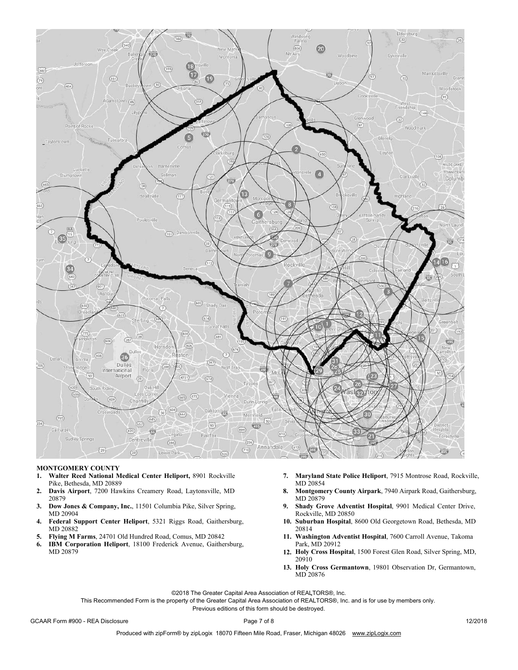

#### MONTGOMERY COUNTY

- 1. Walter Reed National Medical Center Heliport, 8901 Rockville Pike, Bethesda, MD 20889
- 2. Davis Airport, 7200 Hawkins Creamery Road, Laytonsville, MD 20879
- 3. Dow Jones & Company, Inc., 11501 Columbia Pike, Silver Spring, MD 20904
- 4. Federal Support Center Heliport, 5321 Riggs Road, Gaithersburg, MD 20882
- 
- 6. IBM Corporation Heliport, 18100 Frederick Avenue, Gaithersburg, Park, MD 20912 MD 20879 **Holy Cross Hospital**, 1500 Forest Glen Road, Silver Spring, MD, The 20879
- 7. Maryland State Police Heliport, 7915 Montrose Road, Rockville, MD 20854
- 8. Montgomery County Airpark, 7940 Airpark Road, Gaithersburg, MD 20879
- 9. Shady Grove Adventist Hospital, 9901 Medical Center Drive, Rockville, MD 20850
- 10. Suburban Hospital, 8600 Old Georgetown Road, Bethesda, MD 20814
- 5. Flying M Farms, 24701 Old Hundred Road, Comus, MD 20842 11. Washington Adventist Hospital, 7600 Carroll Avenue, Takoma
	- 20910
	- 13. Holy Cross Germantown, 19801 Observation Dr, Germantown, MD 20876

©2018 The Greater Capital Area Association of REALTORS®, Inc.

This Recommended Form is the property of the Greater Capital Area Association of REALTORS®, Inc. and is for use by members only.

Previous editions of this form should be destroyed.

GCAAR Form #900 - REA Disclosure Note 2001 8 12/2018